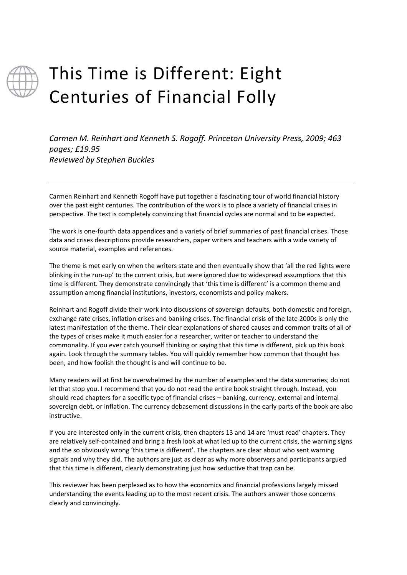

## This Time is Different: Eight Centuries of Financial Folly

*Carmen M. Reinhart and Kenneth S. Rogoff. Princeton University Press, 2009; 463 pages; £19.95 Reviewed by Stephen Buckles*

Carmen Reinhart and Kenneth Rogoff have put together a fascinating tour of world financial history over the past eight centuries. The contribution of the work is to place a variety of financial crises in perspective. The text is completely convincing that financial cycles are normal and to be expected.

The work is one‐fourth data appendices and a variety of brief summaries of past financial crises. Those data and crises descriptions provide researchers, paper writers and teachers with a wide variety of source material, examples and references.

The theme is met early on when the writers state and then eventually show that 'all the red lights were blinking in the run‐up' to the current crisis, but were ignored due to widespread assumptions that this time is different. They demonstrate convincingly that 'this time is different' is a common theme and assumption among financial institutions, investors, economists and policy makers.

Reinhart and Rogoff divide their work into discussions of sovereign defaults, both domestic and foreign, exchange rate crises, inflation crises and banking crises. The financial crisis of the late 2000s is only the latest manifestation of the theme. Their clear explanations of shared causes and common traits of all of the types of crises make it much easier for a researcher, writer or teacher to understand the commonality. If you ever catch yourself thinking or saying that this time is different, pick up this book again. Look through the summary tables. You will quickly remember how common that thought has been, and how foolish the thought is and will continue to be.

Many readers will at first be overwhelmed by the number of examples and the data summaries; do not let that stop you. I recommend that you do not read the entire book straight through. Instead, you should read chapters for a specific type of financial crises – banking, currency, external and internal sovereign debt, or inflation. The currency debasement discussions in the early parts of the book are also instructive.

If you are interested only in the current crisis, then chapters 13 and 14 are 'must read' chapters. They are relatively self-contained and bring a fresh look at what led up to the current crisis, the warning signs and the so obviously wrong 'this time is different'. The chapters are clear about who sent warning signals and why they did. The authors are just as clear as why more observers and participants argued that this time is different, clearly demonstrating just how seductive that trap can be.

This reviewer has been perplexed as to how the economics and financial professions largely missed understanding the events leading up to the most recent crisis. The authors answer those concerns clearly and convincingly.